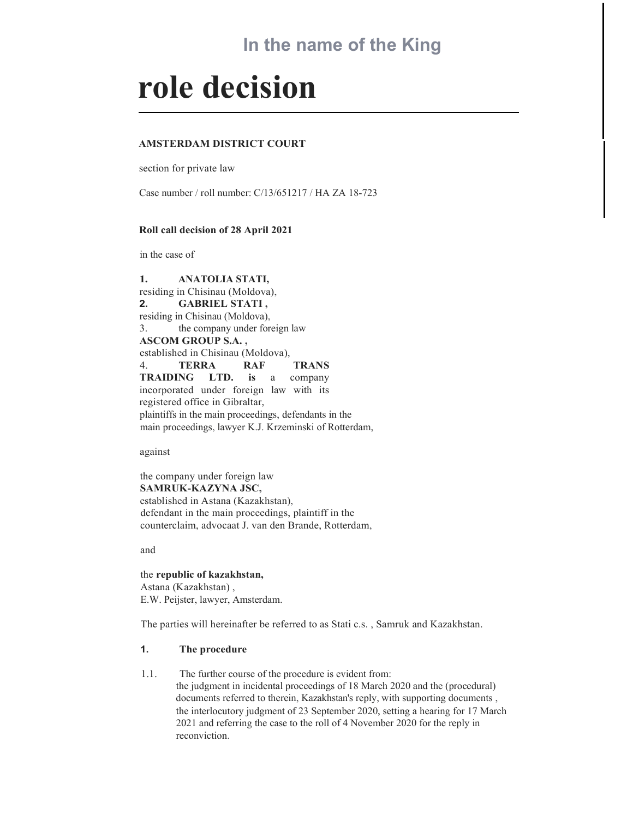# In the name of the King

# role decision

#### AMSTERDAM DISTRICT COURT

section for private law

Case number / roll number: C/13/651217 / HA ZA 18-723

#### Roll call decision of 28 April 2021

in the case of

1. ANATOLIA STATI, residing in Chisinau (Moldova), 2. GABRIEL STATI , residing in Chisinau (Moldova), 3. the company under foreign law ASCOM GROUP S.A. , established in Chisinau (Moldova), 4. TERRA RAF TRANS TRAIDING LTD. is a company incorporated under foreign law with its registered office in Gibraltar, plaintiffs in the main proceedings, defendants in the main proceedings, lawyer K.J. Krzeminski of Rotterdam,

against

the company under foreign law SAMRUK-KAZYNA JSC, established in Astana (Kazakhstan), defendant in the main proceedings, plaintiff in the counterclaim, advocaat J. van den Brande, Rotterdam,

and

the republic of kazakhstan, Astana (Kazakhstan) , E.W. Peijster, lawyer, Amsterdam.

The parties will hereinafter be referred to as Stati c.s. , Samruk and Kazakhstan.

## 1. The procedure

1.1. The further course of the procedure is evident from: the judgment in incidental proceedings of 18 March 2020 and the (procedural) documents referred to therein, Kazakhstan's reply, with supporting documents , the interlocutory judgment of 23 September 2020, setting a hearing for 17 March 2021 and referring the case to the roll of 4 November 2020 for the reply in reconviction.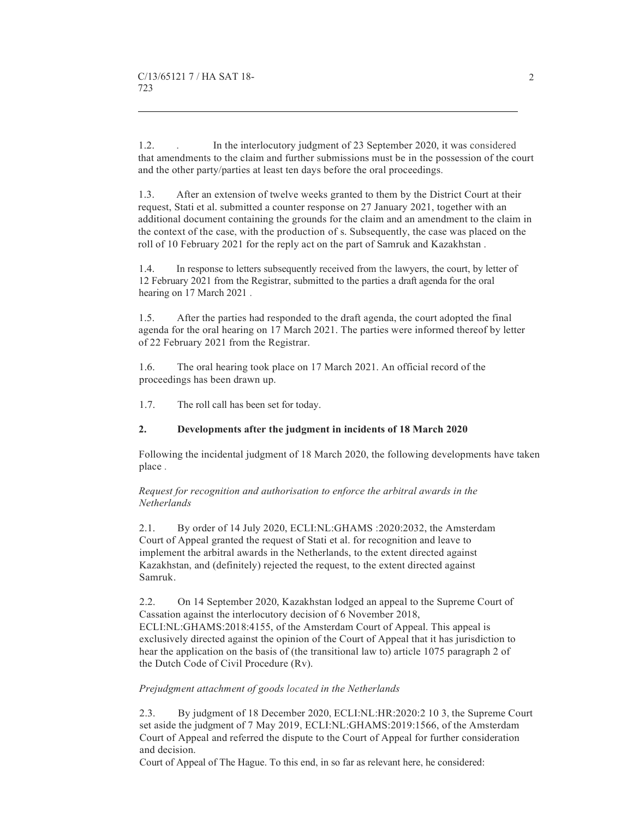1.2. . In the interlocutory judgment of 23 September 2020, it was considered that amendments to the claim and further submissions must be in the possession of the court and the other party/parties at least ten days before the oral proceedings.

1.3. After an extension of twelve weeks granted to them by the District Court at their request, Stati et al. submitted a counter response on 27 January 2021, together with an additional document containing the grounds for the claim and an amendment to the claim in the context of the case, with the production of s. Subsequently, the case was placed on the roll of 10 February 2021 for the reply act on the part of Samruk and Kazakhstan .

1.4. In response to letters subsequently received from the lawyers, the court, by letter of 12 February 2021 from the Registrar, submitted to the parties a draft agenda for the oral hearing on 17 March 2021 .

1.5. After the parties had responded to the draft agenda, the court adopted the final agenda for the oral hearing on 17 March 2021. The parties were informed thereof by letter of 22 February 2021 from the Registrar.

1.6. The oral hearing took place on 17 March 2021. An official record of the proceedings has been drawn up.

1.7. The roll call has been set for today.

#### 2. Developments after the judgment in incidents of 18 March 2020

Following the incidental judgment of 18 March 2020, the following developments have taken place .

Request for recognition and authorisation to enforce the arbitral awards in the Netherlands

2.1. By order of 14 July 2020, ECLI:NL:GHAMS :2020:2032, the Amsterdam Court of Appeal granted the request of Stati et al. for recognition and leave to implement the arbitral awards in the Netherlands, to the extent directed against Kazakhstan, and (definitely) rejected the request, to the extent directed against Samruk.

2.2. On 14 September 2020, Kazakhstan lodged an appeal to the Supreme Court of Cassation against the interlocutory decision of 6 November 2018, ECLI:NL:GHAMS:2018:4155, of the Amsterdam Court of Appeal. This appeal is exclusively directed against the opinion of the Court of Appeal that it has jurisdiction to hear the application on the basis of (the transitional law to) article 1075 paragraph 2 of the Dutch Code of Civil Procedure (Rv).

#### Prejudgment attachment of goods located in the Netherlands

2.3. By judgment of 18 December 2020, ECLI:NL:HR:2020:2 10 3, the Supreme Court set aside the judgment of 7 May 2019, ECLI:NL:GHAMS:2019:1566, of the Amsterdam Court of Appeal and referred the dispute to the Court of Appeal for further consideration and decision.

Court of Appeal of The Hague. To this end, in so far as relevant here, he considered: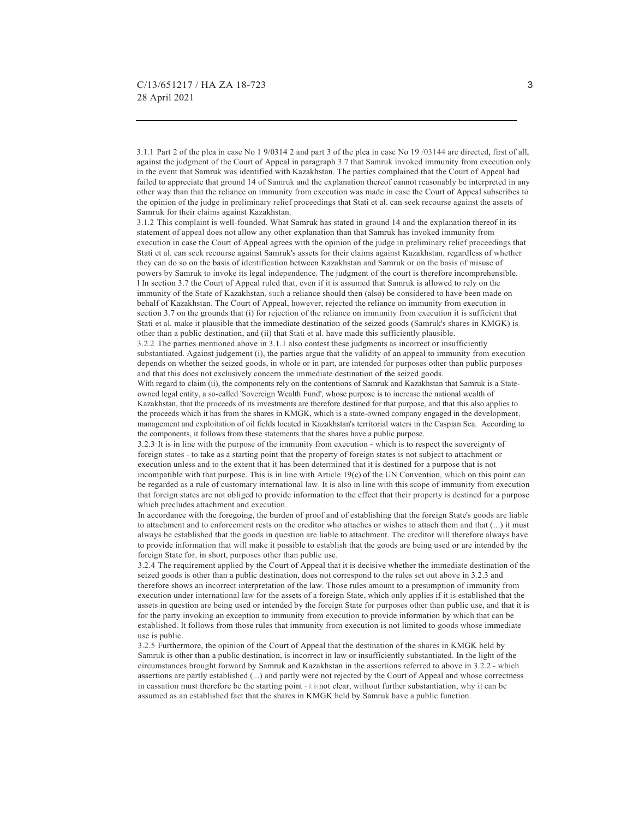3.1.1 Part 2 of the plea in case No 1 9/0314 2 and part 3 of the plea in case No 19 /03144 are directed, first of all, against the judgment of the Court of Appeal in paragraph 3.7 that Samruk invoked immunity from execution only in the event that Samruk was identified with Kazakhstan. The parties complained that the Court of Appeal had failed to appreciate that ground 14 of Samruk and the explanation thereof cannot reasonably be interpreted in any other way than that the reliance on immunity from execution was made in case the Court of Appeal subscribes to the opinion of the judge in preliminary relief proceedings that Stati et al. can seek recourse against the assets of Samruk for their claims against Kazakhstan.

3.1.2 This complaint is well-founded. What Samruk has stated in ground 14 and the explanation thereof in its statement of appeal does not allow any other explanation than that Samruk has invoked immunity from execution in case the Court of Appeal agrees with the opinion of the judge in preliminary relief proceedings that Stati et al. can seek recourse against Samruk's assets for their claims against Kazakhstan, regardless of whether they can do so on the basis of identification between Kazakhstan and Samruk or on the basis of misuse of powers by Samruk to invoke its legal independence. The judgment of the court is therefore incomprehensible. l In section 3.7 the Court of Appeal ruled that, even if it is assumed that Samruk is allowed to rely on the immunity of the State of Kazakhstan, such a reliance should then (also) be considered to have been made on behalf of Kazakhstan. The Court of Appeal, however, rejected the reliance on immunity from execution in section 3.7 on the grounds that (i) for rejection of the reliance on immunity from execution it is sufficient that Stati et al. make it plausible that the immediate destination of the seized goods (Samruk's shares in KMGK) is other than a public destination, and (ii) that Stati et al. have made this sufficiently plausible.

3.2.2 The parties mentioned above in 3.1.1 also contest these judgments as incorrect or insufficiently substantiated. Against judgement (i), the parties argue that the validity of an appeal to immunity from execution depends on whether the seized goods, in whole or in part, are intended for purposes other than public purposes and that this does not exclusively concern the immediate destination of the seized goods.

With regard to claim (ii), the components rely on the contentions of Samruk and Kazakhstan that Samruk is a Stateowned legal entity, a so-called 'Sovereign Wealth Fund', whose purpose is to increase the national wealth of Kazakhstan, that the proceeds of its investments are therefore destined for that purpose, and that this also applies to the proceeds which it has from the shares in KMGK, which is a state-owned company engaged in the development, management and exploitation of oil fields located in Kazakhstan's territorial waters in the Caspian Sea. According to the components, it follows from these statements that the shares have a public purpose.

3.2.3 It is in line with the purpose of the immunity from execution - which is to respect the sovereignty of foreign states - to take as a starting point that the property of foreign states is not subject to attachment or execution unless and to the extent that it has been determined that it is destined for a purpose that is not incompatible with that purpose. This is in line with Article 19(c) of the UN Convention, which on this point can<br>be regarded as a rule of customary international law. It is also in line with this scope of immunity from exe that foreign states are not obliged to provide information to the effect that their property is destined for a purpose which precludes attachment and execution.

In accordance with the foregoing, the burden of proof and of establishing that the foreign State's goods are liable to attachment and to enforcement rests on the creditor who attaches or wishes to attach them and that (...) it must always be established that the goods in question are liable to attachment. The creditor will therefore always have to provide information that will make it possible to establish that the goods are being used or are intended by the foreign State for, in short, purposes other than public use.

3.2.4 The requirement applied by the Court of Appeal that it is decisive whether the immediate destination of the seized goods is other than a public destination, does not correspond to the rules set out above in 3.2.3 and therefore shows an incorrect interpretation of the law. Those rules amount to a presumption of immunity from execution under international law for the assets of a foreign State, which only applies if it is established that the assets in question are being used or intended by the foreign State for purposes other than public use, and that it is for the party invoking an exception to immunity from execution to provide information by which that can be established. It follows from those rules that immunity from execution is not limited to goods whose immediate use is public.

3.2.5 Furthermore, the opinion of the Court of Appeal that the destination of the shares in KMGK held by Samruk is other than a public destination, is incorrect in law or insufficiently substantiated. In the light of the circumstances brought forward by Samruk and Kazakhstan in the assertions referred to above in 3.2.2 - which assertions are partly established (...) and partly were not rejected by the Court of Appeal and whose correctness in cassation must therefore be the starting point - it is not clear, without further substantiation, why it can be assumed as an established fact that the shares in KMGK held by Samruk have a public function.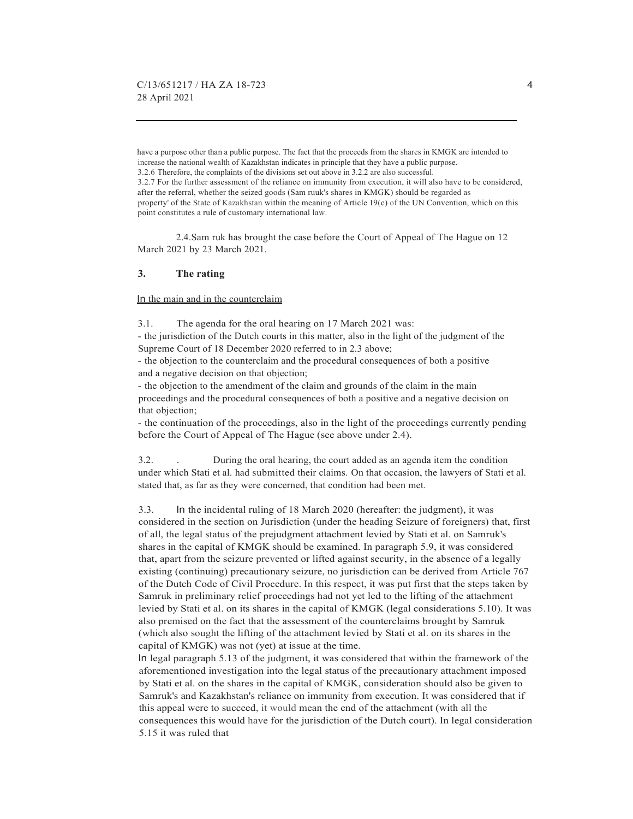have a purpose other than a public purpose. The fact that the proceeds from the shares in KMGK are intended to increase the national wealth of Kazakhstan indicates in principle that they have a public purpose. 3.2.6 Therefore, the complaints of the divisions set out above in 3.2.2 are also successful. 3.2.7 For the further assessment of the reliance on immunity from execution, it will also have to be considered, after the referral, whether the seized goods (Sam ruuk's shares in KMGK) should be regarded as property' of the State of Kazakhstan within the meaning of Article 19(c) of the UN Convention, which on this point constitutes a rule of customary international law.

 2.4.Sam ruk has brought the case before the Court of Appeal of The Hague on 12 March 2021 by 23 March 2021.

### 3. The rating

In the main and in the counterclaim

3.1. The agenda for the oral hearing on 17 March 2021 was:

- the jurisdiction of the Dutch courts in this matter, also in the light of the judgment of the Supreme Court of 18 December 2020 referred to in 2.3 above;

- the objection to the counterclaim and the procedural consequences of both a positive and a negative decision on that objection;

- the objection to the amendment of the claim and grounds of the claim in the main proceedings and the procedural consequences of both a positive and a negative decision on that objection;

- the continuation of the proceedings, also in the light of the proceedings currently pending before the Court of Appeal of The Hague (see above under 2.4).

3.2. . During the oral hearing, the court added as an agenda item the condition under which Stati et al. had submitted their claims. On that occasion, the lawyers of Stati et al. stated that, as far as they were concerned, that condition had been met.

3.3. In the incidental ruling of 18 March 2020 (hereafter: the judgment), it was considered in the section on Jurisdiction (under the heading Seizure of foreigners) that, first of all, the legal status of the prejudgment attachment levied by Stati et al. on Samruk's shares in the capital of KMGK should be examined. In paragraph 5.9, it was considered that, apart from the seizure prevented or lifted against security, in the absence of a legally existing (continuing) precautionary seizure, no jurisdiction can be derived from Article 767 of the Dutch Code of Civil Procedure. In this respect, it was put first that the steps taken by Samruk in preliminary relief proceedings had not yet led to the lifting of the attachment levied by Stati et al. on its shares in the capital of KMGK (legal considerations 5.10). It was also premised on the fact that the assessment of the counterclaims brought by Samruk (which also sought the lifting of the attachment levied by Stati et al. on its shares in the capital of KMGK) was not (yet) at issue at the time.

In legal paragraph 5.13 of the judgment, it was considered that within the framework of the aforementioned investigation into the legal status of the precautionary attachment imposed by Stati et al. on the shares in the capital of KMGK, consideration should also be given to Samruk's and Kazakhstan's reliance on immunity from execution. It was considered that if this appeal were to succeed, it would mean the end of the attachment (with all the consequences this would have for the jurisdiction of the Dutch court). In legal consideration 5.15 it was ruled that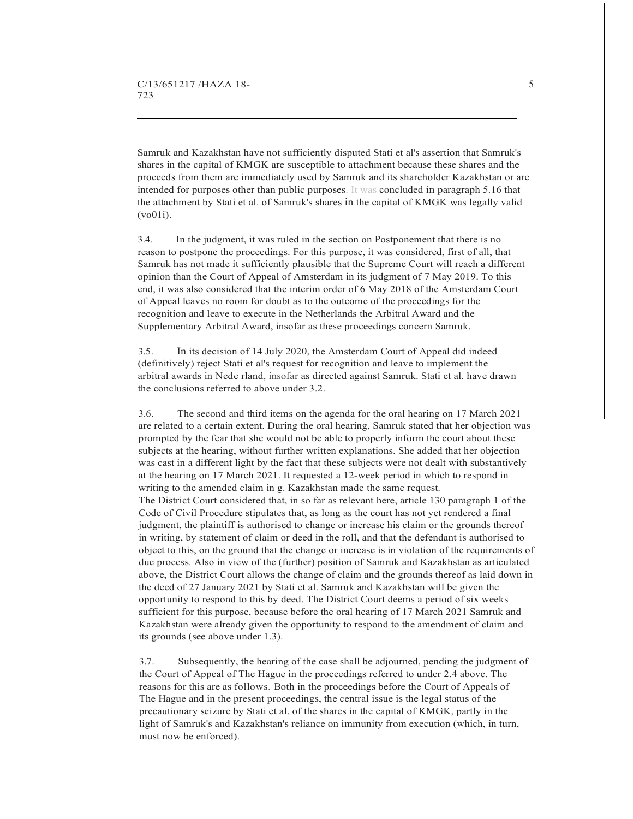Samruk and Kazakhstan have not sufficiently disputed Stati et al's assertion that Samruk's shares in the capital of KMGK are susceptible to attachment because these shares and the proceeds from them are immediately used by Samruk and its shareholder Kazakhstan or are intended for purposes other than public purposes. It was concluded in paragraph 5.16 that the attachment by Stati et al. of Samruk's shares in the capital of KMGK was legally valid (vo01i).

3.4. In the judgment, it was ruled in the section on Postponement that there is no reason to postpone the proceedings. For this purpose, it was considered, first of all, that Samruk has not made it sufficiently plausible that the Supreme Court will reach a different opinion than the Court of Appeal of Amsterdam in its judgment of 7 May 2019. To this end, it was also considered that the interim order of 6 May 2018 of the Amsterdam Court of Appeal leaves no room for doubt as to the outcome of the proceedings for the recognition and leave to execute in the Netherlands the Arbitral Award and the Supplementary Arbitral Award, insofar as these proceedings concern Samruk.

3.5. In its decision of 14 July 2020, the Amsterdam Court of Appeal did indeed (definitively) reject Stati et al's request for recognition and leave to implement the arbitral awards in Nede rland, insofar as directed against Samruk. Stati et al. have drawn the conclusions referred to above under 3.2.

3.6. The second and third items on the agenda for the oral hearing on 17 March 2021 are related to a certain extent. During the oral hearing, Samruk stated that her objection was prompted by the fear that she would not be able to properly inform the court about these subjects at the hearing, without further written explanations. She added that her objection was cast in a different light by the fact that these subjects were not dealt with substantively at the hearing on 17 March 2021. It requested a 12-week period in which to respond in writing to the amended claim in g. Kazakhstan made the same request. The District Court considered that, in so far as relevant here, article 130 paragraph 1 of the Code of Civil Procedure stipulates that, as long as the court has not yet rendered a final judgment, the plaintiff is authorised to change or increase his claim or the grounds thereof in writing, by statement of claim or deed in the roll, and that the defendant is authorised to object to this, on the ground that the change or increase is in violation of the requirements of due process. Also in view of the (further) position of Samruk and Kazakhstan as articulated above, the District Court allows the change of claim and the grounds thereof as laid down in the deed of 27 January 2021 by Stati et al. Samruk and Kazakhstan will be given the opportunity to respond to this by deed. The District Court deems a period of six weeks sufficient for this purpose, because before the oral hearing of 17 March 2021 Samruk and Kazakhstan were already given the opportunity to respond to the amendment of claim and its grounds (see above under 1.3).

3.7. Subsequently, the hearing of the case shall be adjourned, pending the judgment of the Court of Appeal of The Hague in the proceedings referred to under 2.4 above. The reasons for this are as follows. Both in the proceedings before the Court of Appeals of The Hague and in the present proceedings, the central issue is the legal status of the precautionary seizure by Stati et al. of the shares in the capital of KMGK, partly in the light of Samruk's and Kazakhstan's reliance on immunity from execution (which, in turn, must now be enforced).